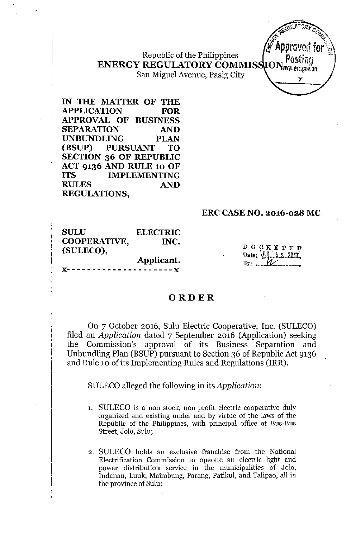Republic of the Philippines ENERGY REGULATORY COMMISSION TO AND A LOCAL COMMISSION San Miguel Avenue, Pasig City

IN THE MATTER OF THE APPLICATION FOR APPROVAL OF. BUSINESS SEPARATION AND UNBUNDLING PLAN (BSUP) PURSUANT TO SECTION 36 OF REPUBLIC ACT 9136 AND RULE 10 OF ITS IMPLEMENTING RULES AND REGULATIONS,

## ERC CASE NO. 2016-028 MC

| <b>SULU</b>                  | <b>ELECTRIC</b> |
|------------------------------|-----------------|
| COOPERATIVE,                 | INC.            |
| (SULECO),                    |                 |
|                              | Applicant.      |
| $X$ -------------------- $X$ |                 |

 $D$  O  $C$  K E T E D Date:  $UU - 122017$  $Bv$ :

# ORDER

On 7 October 2016, Sulu Electric Cooperative, Inc. (SULECO) filed an *Application* dated 7 September 2016 (Application) seeking the Commission's approval of its Business Separation and Unbundling Plan (BSUP) pursuant to Section 36 of Republic Act 9136 and Rule 10 of its Implementing Rules and Regulations (IRR).

SULECO alleged the following in its *Application:*

- 1. SULECO is a non-stock, non-profit electric cooperative duly organized and existing under and by virtue of the laws of the Republic of the Philippines, with principal office at Bus-Bus Street, Jolo, Sulu;
- 2. SULECO holds an exclusive franchise from the National Electrification Commission to operate an electric light and power distribution service **in** the municipalities of Jalo, Indanan, Luuk, Maimbung, Parang, Patikul, and Talipao, all in the province of Sulu;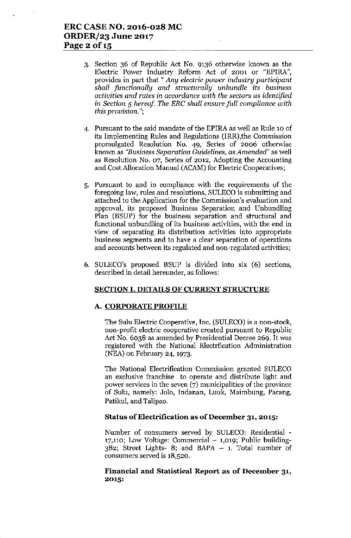# ERC CASE NO. 2016-028 MC ORDER/23 June 2017 Page  $2$  of  $15$

- 3. Section 36 of Republic Act No. 9136 otherwise known as the Electric Power Industry Reform Act of 2001 or "EPlRA", provides in part that " *Any electric power industry participant shall functionally and structurally unbundle its* business *activities and rates in accordance with the sectors as identified* in *Section* 5 *hereof The ERG shall ensure full compliance with this provision.";*
- 4. Pursuant to the said mandate of the EPIRA as well as Rule 10 of its Implementing Rules and Regulations (IRR),the Commission promulgated Resolution No. 49, Series of 2006 otherwise known as *"Business Separation Guidelines,* as *Amended"* as well as Resolution No. 07, Series of 2012, Adopting the Accounting and Cost Allocation Manual (ACAM) for Electric Cooperatives;
- 5. Pursuant to and in compliance with the requirements of the foregoing law, rules and resolutions, SULECO is submitting and attached to the Application for the Commission's evaluation and approval, its proposed Business Separation and Unbundling Plan (BSUP) for the business separation and structural and functional unbundling of its business activities, with the end in view of separating its distribution activities into appropriate business segments and to have a clear separation of operations and accounts between its regulated and non-regulated activities;
- 6. SULECO's proposed BSUP is divided into six (6) sections, described in detail hereunder, as follows:

#### SECfION I. DETAILS OF CURRENT STRUCTURE

#### A. CORPORATE PROFILE

The Sulu Electric Cooperative, Inc. (SULECO) is a non-stock, non-profit electric cooperative created pursuant to Republic Act No. 6038 as amended by Presidential Decree 269. It was registered with the National Electrfication Administration  $(NEA)$  on February 24, 1973.

The National Electrification Commission granted SULECO an exclusive franchise to operate and distribute light and power services in the seven (7) municipalities of the province of Sulu, namely: Jolo, Indanan, Luuk, Maimbung, Parang, Patikul, and Talipao.

#### **Status of Electrification as of December 31, 2015:**

Number of consumers served by SULECO: Residential  $17,110$ ; Low Voltage: Commercial  $-1,019$ ; Public building-382; Street Lights- 8; and BAPA - J. Total number of consumers served is 18,520.

#### **Financial and Statistical Report as of December 31,** 2015: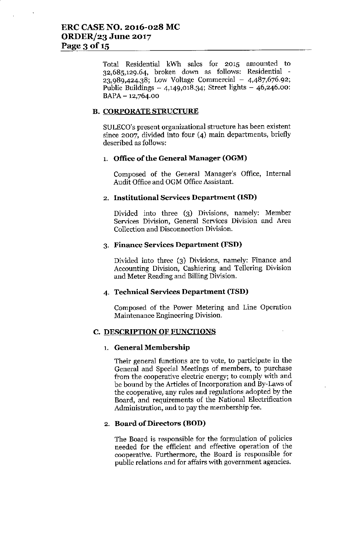Total Residential kWh sales for 2015 amounted to 32,685,129.64, broken down as follows: Residential -  $23,989,424.38$ ; Low Voltage Commercial -  $4,487,676.92$ ; Public Buildings  $-4,149,018.34$ ; Street lights  $-46,246.00$ : BAPA-12,764.00

### **B. CORPORATE STRUCTURE**

SULECO's present organizational structure has been existent since 2007, divided into four (4) main departments, briefly described as follows:

#### 1. Office of the General Manager (OGM)

Composed of the General Manager's Office, Internal Audit Office and OGM Office Assistant.

## 2. Institutional Services Department (ISD)

Divided into three (3) Divisions, namely: Member Services Division, General Services Division and Area Collection and Disconnection Division.

## 3. Finance Services Department (FSD)

Divided into three (3) Divisions, namely: Finance and Accounting Division, Cashiering and Tellering Division and Meter Reading and Billing Division.

#### 4. Technical Services Department (TSD)

Composed of the Power Metering and Line Operation Maintenance Engineering Division.

# C. DESCRIPTION OF FUNCTIONS

# 1. General Membership

Their general functions are to vote, to participate in the General and Special Meetings of members, to purchase from the cooperative electric energy; to comply with and be bound by the Articles of Incorporation and By-Laws of the cooperative, any rules and regulations adopted by the Board, and requirements of the National Electrification Administration, and to pay the membership fee.

# 2. Board of Directors (BOD)

The Board is responsible for the formulation of policies needed for the efficient and effective operation of the cooperative. Furthermore, the Board is responsible for public relations and for affairs with government agencies.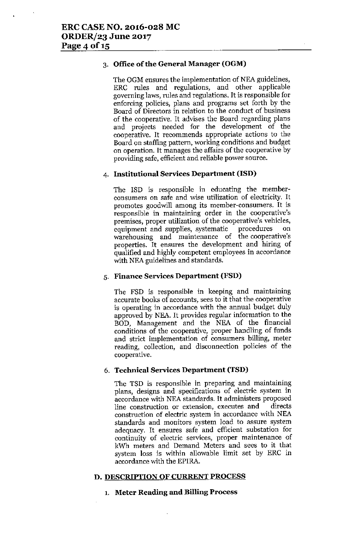# 3. Office of the General Manager (OGM)

The OGM ensures the implementation of NEA guidelines, ERC rules and regulations, and other applicable governing laws, rules and regulations. It is responsible for enforcing policies, plans and programs set forth by the Board of Directors in relation to the conduct of business of the cooperative. It advises the Board regarding plans and projects needed for the development of the cooperative. It recommends appropriate actions to the Board on staffing pattern, working conditions and budget on operation. It manages the affairs of the cooperative by providing safe, efficient and reliable power source.

## 4. Institntional Services Department (ISD)

The ISD is responsible in educating the memberconsumers on safe and wise utilization of electricity. It promotes goodwill among its member-consumers. It is responsible in maintaining order in the cooperative's premises, proper utilization of the cooperative's vehicles, equipment and supplies, systematic procedures on warehousing and maintenance of the cooperative's properties. It ensures the development and hiring of qualified and highly competent employees in accordance with NEA guidelines and standards.

#### 5. Finance Services Department (FSD)

The FSD is responsible in keeping and maintaining accurate books of accounts, sees to it that the cooperative is operating in accordance with the annual budget duly approved by NEA. It provides regular information to the BOD, Management and the NEA of the financial conditions of the cooperative, proper handling of funds and strict implementation of consumers billing, meter reading, collection, and disconnection policies of the cooperative.

#### 6. Technical Services Department (TSD)

The TSD is responsible in preparing and maintaining plans, designs and specifications of electric system in accordance with NEA standards. It administers proposed line construction or extension, executes and directs construction of electric system in accordance with NEA standards and monitors system load to assure system adequacy. It ensures safe and efficient substation for continuity of electric services, proper maintenance of kWh meters and Demand Meters and sees to it that system loss is within allowable limit set by ERC in accordance with the EPIRA.

# D. DESCRIPTION OF CURRENT PROCESS

## 1. Meter Reading and Billing Process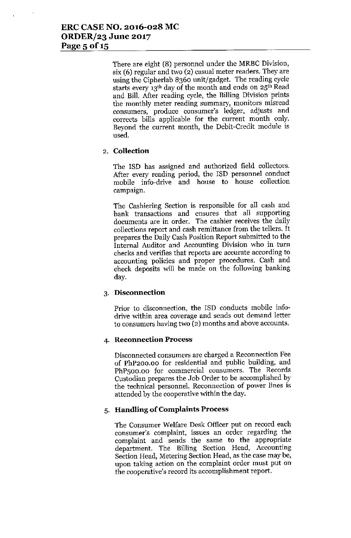There are eight (8) personnel under the MRBC Division, six (6) regular and two (2) casual meter readers. They are using the Cipherlah 8360 unit/gadget. The reading cycle starts every 13th day of the month and ends on 25th Read and Bill. After reading cycle, the Billing Division prints the monthly meter reading summary, monitors misread consumers, produce consumer's ledger, adjusts and corrects hills applicable for the current month only. Beyond the current month, the Debit-Credit module is used.

# 2. Collection

The ISD has assigned and authorized field collectors. After every reading period, the ISD personnel conduct mobile info-drive and house to house collection campaign.

The Cashiering Section is responsible for all cash and hank transactions and ensures that all supporting documents are in order. The cashier receives the daily collections report and cash remittance from the tellers. It prepares the Daily Cash Position Report submitted to the Internal Auditor and Accounting Division who in turn checks and verifies that reports are accurate according to accounting policies and proper procedures. Cash and check deposits will be made on the following banking day.

# 3. **Disconnection**

Prior to disconnection, the ISD conducts mobile infodrive within area coverage and sends out demand letter to consumers having two (2) months and above accounts.

# 4. **Reconnection Process**

Disconnected consumers are charged a Reconnection Fee of PhP200.00 for residential and public building, and PhPsoo.oo for commercial consumers. The Records Custodian prepares the Job Order to be accomplished by the technical personnel. Reconnection of power lines is attended by the cooperative within the day.

# 5. Handling of Complaints Process

The Consumer Welfare Desk Officer put on record each consumer's complaint, issues an order regarding the complaint and sends the same to the appropriate department. The Billing Section Head, Accounting Section Head, Metering Section Head, as the case may be, upon taking action on the complaint order must put on the cooperative's record its accomplishment report.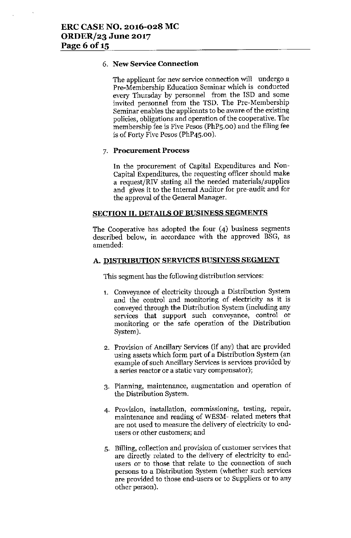### 6. **New Service Connection**

The applicant for new service connection will undergo a Pre-Membership Education Seminar which is conducted every Thursday by personnel from the ISD and some invited personnel from the TSD. The Pre-Membership Seminar enables the applicants to be aware of the existing policies, obligations and operation of the cooperative. The membership fee is Five Pesos (PhPS.oo) and the filing fee is of Forty Five Pesos (PhP4S.00).

#### 7. **Procurement Process**

In the procurement of Capital Expenditures and Non-Capital Expenditures, the requesting officer should make a request/RN stating all the needed materials/supplies and gives it to the Internal Auditor for pre-audit and for the approval of the General Manager.

# SECTION II. DETAILS OF BUSINESS SEGMENTS

The Cooperative has adopted the four (4) business segments described below, in accordance with the approved BSG, as amended:

## A. DISTRIBUTION SERVICES BUSINESS SEGMENT

This segment has the following distribution services:

- 1. Conveyance of electricity through a Distribution System and the control and monitoring of electricity as it is conveyed through the Distribution System (including any services that support such conveyance, control or monitoring or the safe operation of the Distribution System).
- 2. Provision of Ancillary Services (if any) that are provided using assets which form part of a Distribution System (an example of such Ancillary Services is services provided by a series reactor or a static vary compensator);
- 3. Planning, maintenance, augmentation and operation of the Distribution System.
- 4. Provision, installation, commissioning, testing, repair, maintenance and reading of WESM- related meters that are not used to measure the delivery of electricity to endusers or other customers; and
- 5. Billing, collection and provision of customer services that are directly related to the delivery of electricity to endusers or to those that relate to the connection of such persons to a Distribution System (whether such services are provided to those end-users or to Suppliers or to any other person).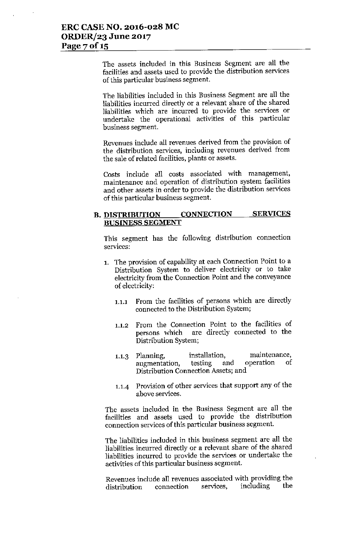The assets included in this Business Segment are all the facilities and assets used to provide the distribution services of this particular business segment.

The liabilities included in this Business Segment are all the liabilities incurred directly or a relevant share of the shared liabilities which are incurred to provide the services or undertake the operational activities of this particular business segment.

Revenues include all revenues derived from the provision of the distribution services, including revenues derived from the sale of related facilities, plants or assets.

Costs include all costs associated with management, maintenance and operation of distribution system facilities and other assets in order to provide the distribution services of this particular business segment.

#### B. DISTRIBUfION CONNECfION BUSINESS SEGMENT SERVICES

This segment has the following distribution connection services:

- 1. The provision of capability at each Connection Point to a Distribution System to deliver electricity or to take electricity from the Connection Point and the conveyance of electricity:
	- 1.1.1 From the facilities of persons which are directly connected to the Distribution System;
	- 1.1.2 From the Connection Point to the facilities of persons which are directly connected to the Distribution System;
	- 1.1.3 Planning, installation, maintenance, augmentation, testing and operation of Distribution Connection Assets; and
	- 1.1.4 Provision of other services that support any of the above services.

The assets included in the Business Segment are all the facilities and assets used to provide the distribution connection services of this particular business segment.

The liabilities included in this business segment are all the liabilities incurred directly or a relevant share of the shared liabilities incurred to provide the services or undertake the activities of this particular business segment.

Revenues include all revenues associated with providing the<br>distribution connection services, including the distribution connection services, including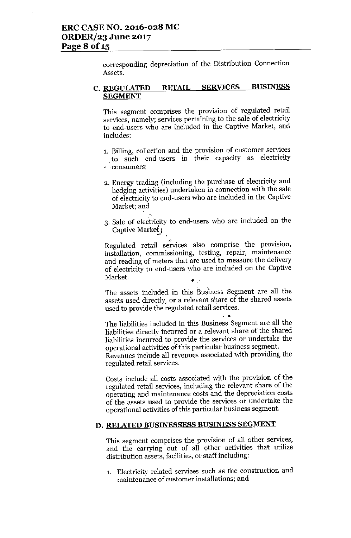corresponding depreciation of the Distribution Connection Assets.

#### C.REGUIATED **SEGMENT** RETAIL SERVICES BUSINESS

This segment comprises the provision of regulated retail services, namely; services pertaining to the sale of electricity to end-users who are included in the Captive Market, and includes:

- 1. Billing, collection and the provision of customer services to such end-users in their capacity as electricity ~ .consumers;
- 2. Energy trading (including the purchase of electricity and hedging activities) undertaken in connection with the sale of electricity to end-users who are included in the Captive Market; and
- 3. Sale of electricity to end-users who are included on the Captive Market  $\mu$

Regulated retail services also comprise the provision, installation, commissioning, testing, repair, maintenance and reading of meters that are used to measure the delivery of electricity to end-users who are included on the Captive Market.

The assets included in this Business Segment are all the assets used directly, or a relevant share of the shared assets used to provide the regulated retail services .

• The liabilities included in this Business Segment are all the liabilities directly incurred or a relevant share of the shared liabilities incurred to provide the services or undertake the operational activities of this particular business segment. Revenues include all revenues associated with providing the regulated retail services.

Costs include all costs associated with the provision of the regulated retail services, including the relevant share of the operating and maintenance costs and the depreciation costs of the assets used to provide the services or undertake the operational activities of this particular business segment.

# D. RELATED BUSINESSESS BUSINESS SEGMENT

This segment comprises the provision of all other services, and the carrying out of all other activities that utilize distribution assets, facilities, or staff including:

1. Electricity related services such as the construction and maintenance of customer installations; and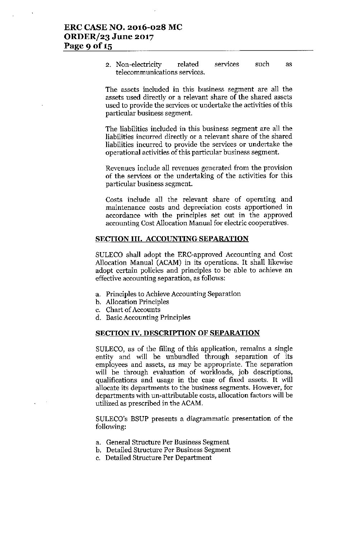2. Non-electricity related services telecommunications services. such as

The assets included in this business segment are all the assets used directly or a relevant share of the shared assets used to provide the services or undertake the activities of this particular business segment.

The liabilities included in this business segment are all the liabilities incurred directly or a relevant share of the shared liabilities incurred to provide the services or undertake the operational activities of this particular business segment.

Revenues include all revenues generated from the provision of the services or the undertaking of the activities for this particular business segment.

Costs include all the relevant share of operating and maintenance costs and depreciation costs apportioned in accordance with the principles set out in the approved accounting Cost Allocation Manual for electric cooperatives.

#### SECTION III. ACCOUNTING SEPARATION

SULECO shall adopt the ERC-approved Accounting and Cost Allocation Manual (ACAM) in its operations. It shall likewise adopt certain policies and principles to be able to achieve an effective accounting separation, as follows:

- a. Principles to Achieve Accounting Separation
- b. Allocation Principles
- c. Chart of Accounts
- d. Basic Accounting Principles

#### SECTION IV. DESCRIPTION OF SEPARATION

SULECO, as of the filing of this application, remains a single entity and will be unbundled through separation of its employees and assets, as may be appropriate. The separation will be through evaluation of workloads, job descriptions, qualifications and usage in the case of fixed assets. It will allocate its departments to the business segments. However, for departments with un-attributable costs, allocation factors will be utilized as prescribed in the ACAM.

SULECO's BSUP presents a diagrammatic presentation of the following:

- a. General Structure Per Business Segment
- b. Detailed Structure Per Business Segment
- c. Detailed Structure Per Department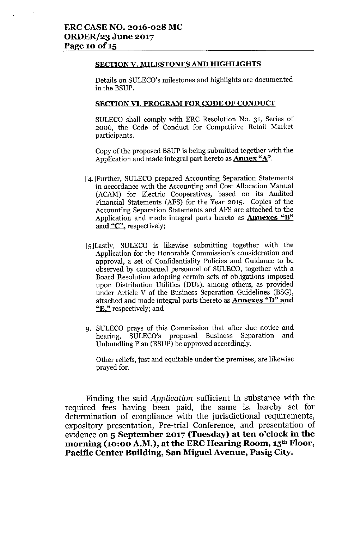#### SECTION V. MILESTONES AND HIGHLIGHTS

Details on SULECO's milestones and highlights are documented in the BSUP.

# SECTION VI. PROGRAM FOR CODE OF CONDUCT

SULECO shall comply with ERC Resolution No. 31, Series of 2006, the Code of Conduct for Competitive Retail Market participants.

Copy of the proposed BSUP is being submitted together with the Application and made integral part hereto as **Annex** " $A$ ".

- [4.]Further, SULECO prepared Accounting Separation Statements in accordance with the Accounting and Cost Allocation Manual (ACAM) for Electric Cooperatives, based on its Audited Financial Statements (AFS) for the Year 2015. Copies of the Accounting Separation Statements and AFS are attached to the Application and made integral parts hereto as **Annexes** "B" and "C", respectively;
- [s]Lastly, SULECO is likewise submitting together with the Application for the Honorable Commission's consideration and approval, a set of Confidentiality Policies and Guidance to be observed by concerned personnel of SULECO, together with a Board Resolution adopting certain sets of obligations imposed upon Distribution Utilities (DUs), among others, as provided under Article V of the Business Separation Guidelines (BSG), attached and made integral parts thereto as Annexes "D" **and** "E, " respectively; and
- 9. SULECO prays of this Commission that after due notice and hearing, SULECO's proposed Business Separation and Unbundling Plan (BSUP) be approved accordingly.

Other reliefs, just and equitable under the premises, are likewise prayed for.

Finding the said *Application* sufficient in substance with the required fees having been paid, the same is. hereby set for determination of compliance with the jurisdictional requirements, expository presentation, Pre-trial Conference, and presentation of evidence on 5 September 2017 (Tuesday) at ten o'clock in the morning (10:00 A.M.), at the ERC Hearing Room, 15<sup>th</sup> Floor, Pacific Center Building, San Miguel Avenue, Pasig City.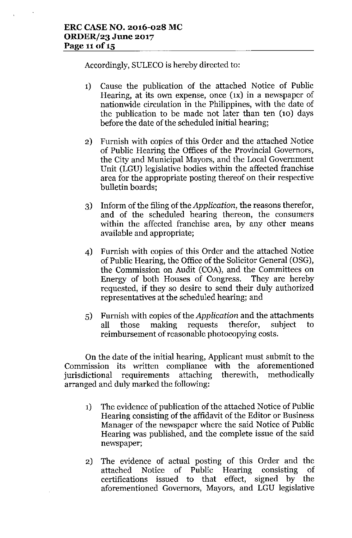Accordingly, SULECO is hereby directed to:

- 1) Cause the publication of the attached Notice of Public Hearing, at its own expense, once  $(x)$  in a newspaper of nationwide circulation in the Philippines, with the date of the publication to be made not later than ten (10) days before the date of the scheduled initial hearing;
- 2) Furnish with copies of this Order and the attached Notice of Public Hearing the Offices of the Provincial Governors, the City and Municipal Mayors, and the Local Government Unit (LGU) legislative bodies within the affected franchise area for the appropriate posting thereof on their respective bulletin boards;
- 3) Inform of the filing of the *Application*, the reasons therefor, and of the scheduled hearing thereon, the consumers within the affected franchise area, by any other means available and appropriate;
- 4) Furnish with copies of this Order and the attached Notice of Public Hearing, the Office of the Solicitor General (OSG), the Commission on Audit (COA), and the Committees on Energy of both Houses of Congress. They are hereby requested, if they so desire to send their duly authorized representatives at the scheduled hearing; and
- 5) Furnish with copies of the *Application* and the attachments all those making requests therefor, subject to reimbursement of reasonable photocopying costs.

On the date of the initial hearing, Applicant must submit to the Commission its written compliance with the aforementioned jurisdictional requirements attaching therewith, methodically arranged and duly marked the following:

- 1) The evidence of publication of the attached Notice of Public Hearing consisting of the affidavit of the Editor or Business Manager of the newspaper where the said Notice of Public Hearing was published, and the complete issue of the said newspaper;
- 2) The evidence of actual posting of this Order and the attached Notice of Public Hearing consisting of certifications issued to that effect, signed by the aforementioned Governors, Mayors, and LGU legislative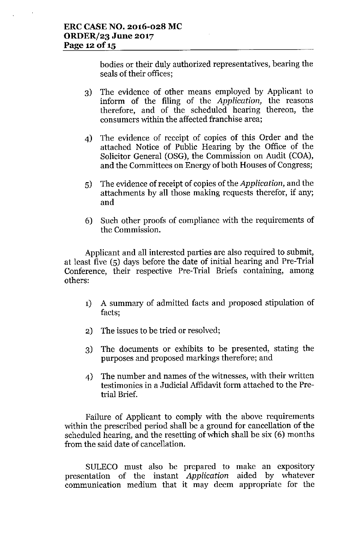bodies or their duly authorized representatives, bearing the seals of their offices;

- 3) The evidence of other means employed by Applicant to inform of the filing of the *Application,* the reasons therefore, and of the scheduled hearing thereon, the consumers within the affected franchise area;
- 4) The evidence of receipt of copies of this Order and the attached Notice of Public Hearing by the Office of the Solicitor General (OSG), the Commission on Audit (COA), and the Committees on Energy of both Houses of Congress;
- 5) The evidence of receipt of copies of the *Application,* and the attachments by all those making requests therefor, if any; and
- 6) Such other proofs of compliance with the requirements of the Commission.

Applicant and all interested parties are also required to submit, at least five (5) days before the date of initial hearing and Pre-Trial Conference, their respective Pre-Trial Briefs containing, among others:

- 1) A summary of admitted facts and proposed stipulation of facts;
- 2) The issues to be tried or resolved;
- 3) The documents or exhibits to be presented, stating the purposes and proposed markings therefore; and
- 4) The number and names of the witnesses, with their written testimonies in a Judicial Affidavit form attached to the Pretrial Brief.

Failure of Applicant to comply with the above requirements within the prescribed period shall be a ground for cancellation of the scheduled hearing, and the resetting of which shall be six (6) months from the said date of cancellation.

SULECO must also be prepared to make an expository presentation of the instant *Application* aided by whatever communication medium that it may deem appropriate for the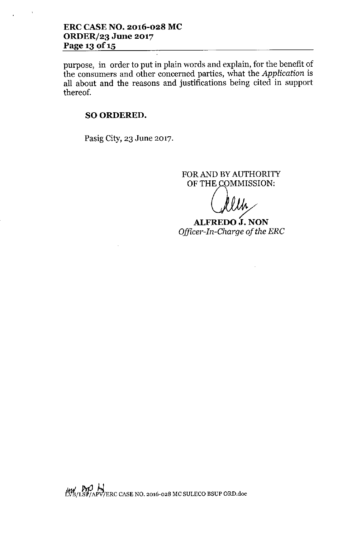purpose, in order to put in plain words and explain, for the benefit of the consumers and other concerned parties, what the *Application* is all about and the reasons and justifications being cited in support thereof.

# SO ORDERED.

Pasig City, 23 June 2017.

FORAND BY AUTHORITY OF THE COMMISSION:

**ALFREDOJ.NON** *Officer-In-Charge of the ERC*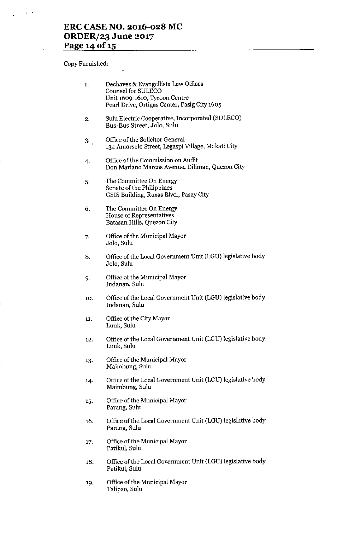Copy Furnished:

 $\tilde{\phantom{a}}$ 

| 1.          | Dechavez & Evangellista Law Offices<br>Counsel for SULECO<br>Unit 1609-1610, Tycoon Centre<br>Pearl Drive, Ortigas Center, Pasig City 1605 |
|-------------|--------------------------------------------------------------------------------------------------------------------------------------------|
| 2.          | Sulu Electric Cooperative, Incorporated (SULECO)<br>Bus-Bus Street, Jolo, Sulu                                                             |
| $3 \cdot$ . | Office of the Solicitor General<br>134 Amorsolo Street, Legaspi Village, Makati City                                                       |
| 4.          | Office of the Commission on Audit<br>Don Mariano Marcos Avenue, Diliman, Quezon City                                                       |
| 5.          | The Committee On Energy<br>Senate of the Philippines<br>GSIS Building, Roxas Blvd., Pasay City                                             |
| 6.          | The Committee On Energy<br>House of Representatives<br>Batasan Hills, Quezon City                                                          |
| 7.          | Office of the Municipal Mayor<br>Jolo, Sulu                                                                                                |
| 8.          | Office of the Local Government Unit (LGU) legislative body<br>Jolo, Sulu                                                                   |
| 9.          | Office of the Municipal Mayor<br>Indanan, Sulu                                                                                             |
| 10.         | Office of the Local Government Unit (LGU) legislative body<br>Indanan, Sulu                                                                |
| 11.         | Office of the City Mayor<br>Luuk, Sulu                                                                                                     |
| 12.         | Office of the Local Government Unit (LGU) legislative body<br>Luuk, Sulu                                                                   |
| 13.         | Office of the Municipal Mayor<br>Maimbung, Sulu                                                                                            |
| 14.         | Office of the Local Government Unit (LGU) legislative body<br>Maimbung, Sulu                                                               |
| 15.         | Office of the Municipal Mayor<br>Parang, Sulu                                                                                              |
| 16.         | Office of the Local Government Unit (LGU) legislative body<br>Parang, Sulu                                                                 |
| 17.         | Office of the Municipal Mayor<br>Patikul, Sulu                                                                                             |
| 18.         | Office of the Local Government Unit (LGU) legislative body<br>Patikul, Sulu                                                                |
| 19.         | Office of the Municipal Mayor<br>Talipao, Sulu                                                                                             |
|             |                                                                                                                                            |